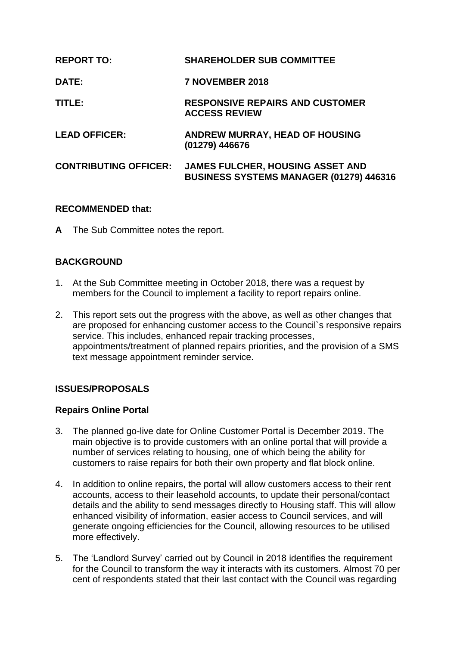| <b>REPORT TO:</b>            | <b>SHAREHOLDER SUB COMMITTEE</b>                                                   |
|------------------------------|------------------------------------------------------------------------------------|
| <b>DATE:</b>                 | 7 NOVEMBER 2018                                                                    |
| TITLE:                       | <b>RESPONSIVE REPAIRS AND CUSTOMER</b><br><b>ACCESS REVIEW</b>                     |
| <b>LEAD OFFICER:</b>         | <b>ANDREW MURRAY, HEAD OF HOUSING</b><br>(01279) 446676                            |
| <b>CONTRIBUTING OFFICER:</b> | <b>JAMES FULCHER, HOUSING ASSET AND</b><br>BUSINESS SYSTEMS MANAGER (01279) 446316 |

### **RECOMMENDED that:**

**A** The Sub Committee notes the report.

# **BACKGROUND**

- 1. At the Sub Committee meeting in October 2018, there was a request by members for the Council to implement a facility to report repairs online.
- 2. This report sets out the progress with the above, as well as other changes that are proposed for enhancing customer access to the Council`s responsive repairs service. This includes, enhanced repair tracking processes, appointments/treatment of planned repairs priorities, and the provision of a SMS text message appointment reminder service.

# **ISSUES/PROPOSALS**

### **Repairs Online Portal**

- 3. The planned go-live date for Online Customer Portal is December 2019. The main objective is to provide customers with an online portal that will provide a number of services relating to housing, one of which being the ability for customers to raise repairs for both their own property and flat block online.
- 4. In addition to online repairs, the portal will allow customers access to their rent accounts, access to their leasehold accounts, to update their personal/contact details and the ability to send messages directly to Housing staff. This will allow enhanced visibility of information, easier access to Council services, and will generate ongoing efficiencies for the Council, allowing resources to be utilised more effectively.
- 5. The 'Landlord Survey' carried out by Council in 2018 identifies the requirement for the Council to transform the way it interacts with its customers. Almost 70 per cent of respondents stated that their last contact with the Council was regarding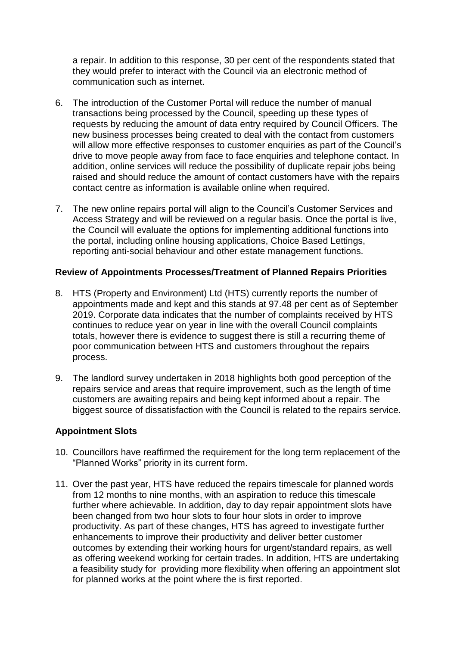a repair. In addition to this response, 30 per cent of the respondents stated that they would prefer to interact with the Council via an electronic method of communication such as internet.

- 6. The introduction of the Customer Portal will reduce the number of manual transactions being processed by the Council, speeding up these types of requests by reducing the amount of data entry required by Council Officers. The new business processes being created to deal with the contact from customers will allow more effective responses to customer enquiries as part of the Council's drive to move people away from face to face enquiries and telephone contact. In addition, online services will reduce the possibility of duplicate repair jobs being raised and should reduce the amount of contact customers have with the repairs contact centre as information is available online when required.
- 7. The new online repairs portal will align to the Council's Customer Services and Access Strategy and will be reviewed on a regular basis. Once the portal is live, the Council will evaluate the options for implementing additional functions into the portal, including online housing applications, Choice Based Lettings, reporting anti-social behaviour and other estate management functions.

### **Review of Appointments Processes/Treatment of Planned Repairs Priorities**

- 8. HTS (Property and Environment) Ltd (HTS) currently reports the number of appointments made and kept and this stands at 97.48 per cent as of September 2019. Corporate data indicates that the number of complaints received by HTS continues to reduce year on year in line with the overall Council complaints totals, however there is evidence to suggest there is still a recurring theme of poor communication between HTS and customers throughout the repairs process.
- 9. The landlord survey undertaken in 2018 highlights both good perception of the repairs service and areas that require improvement, such as the length of time customers are awaiting repairs and being kept informed about a repair. The biggest source of dissatisfaction with the Council is related to the repairs service.

### **Appointment Slots**

- 10. Councillors have reaffirmed the requirement for the long term replacement of the "Planned Works" priority in its current form.
- 11. Over the past year, HTS have reduced the repairs timescale for planned words from 12 months to nine months, with an aspiration to reduce this timescale further where achievable. In addition, day to day repair appointment slots have been changed from two hour slots to four hour slots in order to improve productivity. As part of these changes, HTS has agreed to investigate further enhancements to improve their productivity and deliver better customer outcomes by extending their working hours for urgent/standard repairs, as well as offering weekend working for certain trades. In addition, HTS are undertaking a feasibility study for providing more flexibility when offering an appointment slot for planned works at the point where the is first reported.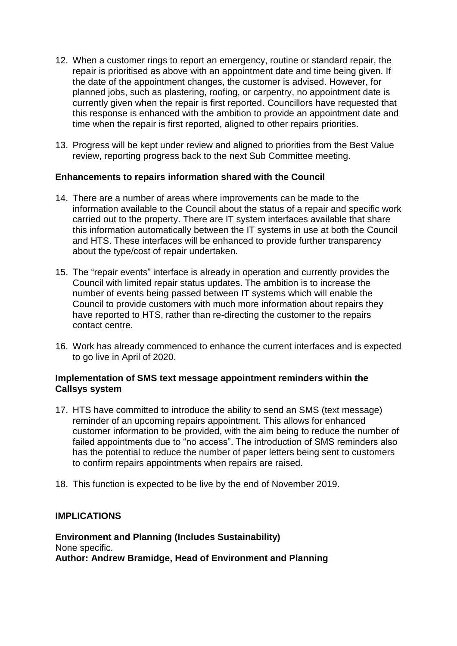- 12. When a customer rings to report an emergency, routine or standard repair, the repair is prioritised as above with an appointment date and time being given. If the date of the appointment changes, the customer is advised. However, for planned jobs, such as plastering, roofing, or carpentry, no appointment date is currently given when the repair is first reported. Councillors have requested that this response is enhanced with the ambition to provide an appointment date and time when the repair is first reported, aligned to other repairs priorities.
- 13. Progress will be kept under review and aligned to priorities from the Best Value review, reporting progress back to the next Sub Committee meeting.

### **Enhancements to repairs information shared with the Council**

- 14. There are a number of areas where improvements can be made to the information available to the Council about the status of a repair and specific work carried out to the property. There are IT system interfaces available that share this information automatically between the IT systems in use at both the Council and HTS. These interfaces will be enhanced to provide further transparency about the type/cost of repair undertaken.
- 15. The "repair events" interface is already in operation and currently provides the Council with limited repair status updates. The ambition is to increase the number of events being passed between IT systems which will enable the Council to provide customers with much more information about repairs they have reported to HTS, rather than re-directing the customer to the repairs contact centre.
- 16. Work has already commenced to enhance the current interfaces and is expected to go live in April of 2020.

### **Implementation of SMS text message appointment reminders within the Callsys system**

- 17. HTS have committed to introduce the ability to send an SMS (text message) reminder of an upcoming repairs appointment. This allows for enhanced customer information to be provided, with the aim being to reduce the number of failed appointments due to "no access". The introduction of SMS reminders also has the potential to reduce the number of paper letters being sent to customers to confirm repairs appointments when repairs are raised.
- 18. This function is expected to be live by the end of November 2019.

### **IMPLICATIONS**

**Environment and Planning (Includes Sustainability)** None specific. **Author: Andrew Bramidge, Head of Environment and Planning**